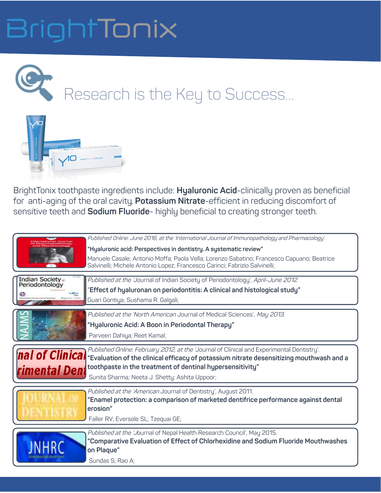### BrightTonix

Research is the Key to Success…



BrightTonix toothpaste ingredients include: **Hyaluronic Acid**-clinically proven as beneficial for anti-aging of the oral cavity, **Potassium Nitrate**-efficient in reducing discomfort of sensitive teeth and **Sodium Fluoride**- highly beneficial to creating stronger teeth.

|                                  | Published Online: June 2016, at the 'International Journal of Immunopathology and Pharmacology'.<br>"Hyaluronic acid: Perspectives in dentistry. A systematic review"<br>Manuele Casale; Antonio Moffa; Paola Vella; Lorenzo Sabatino; Francesco Capuano; Beatrice<br>Salvinelli; Michele Antonio Lopez; Francesco Carinci; Fabrizio Salvinelli; |
|----------------------------------|--------------------------------------------------------------------------------------------------------------------------------------------------------------------------------------------------------------------------------------------------------------------------------------------------------------------------------------------------|
| Indian Society<br>Periodontology | Published at the 'Journal of Indian Society of Periodontology', April-June 2012.<br>"Effect of hyaluronan on periodontitis: A clinical and histological study"<br>Guari Gontiya; Sushama R. Galgali;                                                                                                                                             |
|                                  | Published at the 'North American Journal of Medical Sciences', May 2013.<br>"Hyaluronic Acid: A Boon in Periodontal Therapy"<br>Parveen Dahiya; Reet Kamal;                                                                                                                                                                                      |
| nal of Clinical                  | Published Online: February 2012, at the 'Journal of Clinical and Experimental Dentistry'.<br>"Evaluation of the clinical efficacy of potassium nitrate desensitizing mouthwash and a<br><b>rimental Dent</b> toothpaste in the treatment of dentinal hypersensitivity"<br>Sunita Sharma; Neeta J. Shetty; Ashita Uppoor;                         |
|                                  | Published at the 'American Journal of Dentistry', August 2011.<br>"Enamel protection: a comparison of marketed dentifrice performance against dental<br>erosion"<br>Faller RV; Eversole SL; Tzequai GE;                                                                                                                                          |
|                                  | Published at the 'Journal of Nepal Health Research Council', May 2015.<br>"Comparative Evaluation of Effect of Chlorhexidine and Sodium Fluoride Mouthwashes<br>on Plaque"<br>Sundas S; Rao A;                                                                                                                                                   |